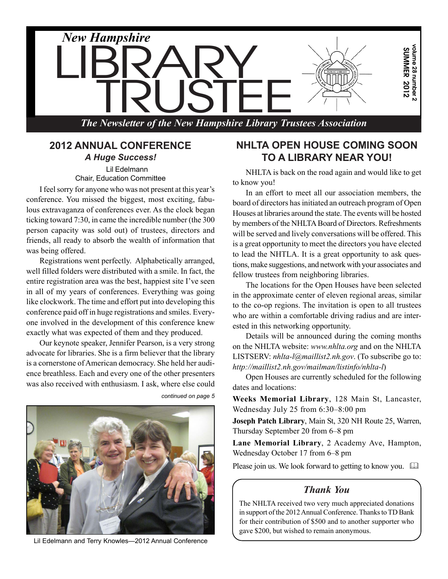

#### **2012 ANNUAL CONFERENCE** *A Huge Success!* Lil Edelmann

Chair, Education Committee

I feel sorry for anyone who was not present at this year's conference. You missed the biggest, most exciting, fabulous extravaganza of conferences ever. As the clock began ticking toward 7:30, in came the incredible number (the 300 person capacity was sold out) of trustees, directors and friends, all ready to absorb the wealth of information that was being offered.

Registrations went perfectly. Alphabetically arranged, well filled folders were distributed with a smile. In fact, the entire registration area was the best, happiest site I've seen in all of my years of conferences. Everything was going like clockwork. The time and effort put into developing this conference paid off in huge registrations and smiles. Everyone involved in the development of this conference knew exactly what was expected of them and they produced.

Our keynote speaker, Jennifer Pearson, is a very strong advocate for libraries. She is a firm believer that the library is a cornerstone of American democracy. She held her audience breathless. Each and every one of the other presenters was also received with enthusiasm. I ask, where else could



*continued on page 5*

Lil Edelmann and Terry Knowles—2012 Annual Conference

## **NHLTA OPEN HOUSE COMING SOON TO A LIBRARY NEAR YOU!**

NHLTA is back on the road again and would like to get to know you!

In an effort to meet all our association members, the board of directors has initiated an outreach program of Open Houses at libraries around the state. The events will be hosted by members of the NHLTA Board of Directors. Refreshments will be served and lively conversations will be offered. This is a great opportunity to meet the directors you have elected to lead the NHTLA. It is a great opportunity to ask questions, make suggestions, and network with your associates and fellow trustees from neighboring libraries.

The locations for the Open Houses have been selected in the approximate center of eleven regional areas, similar to the co-op regions. The invitation is open to all trustees who are within a comfortable driving radius and are interested in this networking opportunity.

Details will be announced during the coming months on the NHLTA website: *www.nhlta.org* and on the NHLTA LISTSERV: *nhlta-l@maillist2.nh.gov*. (To subscribe go to: *http://maillist2.nh.gov/mailman/listinfo/nhlta-l*)

Open Houses are currently scheduled for the following dates and locations:

**Weeks Memorial Library**, 128 Main St, Lancaster, Wednesday July 25 from 6:30–8:00 pm

**Joseph Patch Library**, Main St, 320 NH Route 25, Warren, Thursday September 20 from 6–8 pm

**Lane Memorial Library**, 2 Academy Ave, Hampton, Wednesday October 17 from 6–8 pm

Please join us. We look forward to getting to know you.  $\square$ 

#### *Thank You*

The NHLTA received two very much appreciated donations in support of the 2012 Annual Conference. Thanks to TD Bank for their contribution of \$500 and to another supporter who gave \$200, but wished to remain anonymous.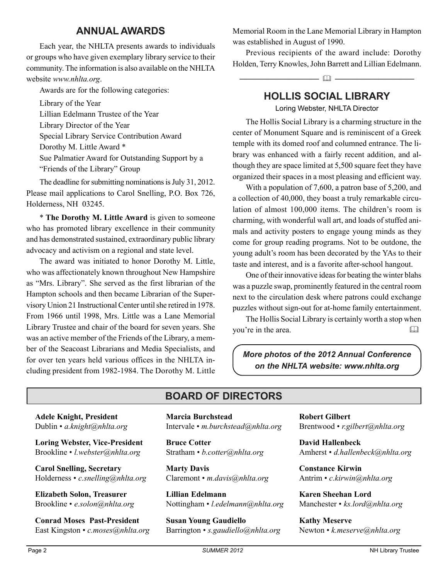#### **ANNUAL AWARDS**

Each year, the NHLTA presents awards to individuals or groups who have given exemplary library service to their community. The information is also available on the NHLTA website *www.nhlta.org*.

Awards are for the following categories:

Library of the Year Lillian Edelmann Trustee of the Year Library Director of the Year Special Library Service Contribution Award Dorothy M. Little Award \* Sue Palmatier Award for Outstanding Support by a "Friends of the Library" Group

The deadline for submitting nominations is July 31, 2012. Please mail applications to Carol Snelling, P.O. Box 726, Holderness, NH 03245.

\* **The Dorothy M. Little Award** is given to someone who has promoted library excellence in their community and has demonstrated sustained, extraordinary public library advocacy and activism on a regional and state level.

The award was initiated to honor Dorothy M. Little, who was affectionately known throughout New Hampshire as "Mrs. Library". She served as the first librarian of the Hampton schools and then became Librarian of the Supervisory Union 21 Instructional Center until she retired in 1978. From 1966 until 1998, Mrs. Little was a Lane Memorial Library Trustee and chair of the board for seven years. She was an active member of the Friends of the Library, a member of the Seacoast Librarians and Media Specialists, and for over ten years held various offices in the NHLTA including president from 1982-1984. The Dorothy M. Little Memorial Room in the Lane Memorial Library in Hampton was established in August of 1990.

Previous recipients of the award include: Dorothy Holden, Terry Knowles, John Barrett and Lillian Edelmann.

**HOLLIS SOCIAL LIBRARY**

 $\Omega$   $-$ 

Loring Webster, NHLTA Director

The Hollis Social Library is a charming structure in the center of Monument Square and is reminiscent of a Greek temple with its domed roof and columned entrance. The library was enhanced with a fairly recent addition, and although they are space limited at 5,500 square feet they have organized their spaces in a most pleasing and efficient way.

With a population of 7,600, a patron base of 5,200, and a collection of 40,000, they boast a truly remarkable circulation of almost 100,000 items. The children's room is charming, with wonderful wall art, and loads of stuffed animals and activity posters to engage young minds as they come for group reading programs. Not to be outdone, the young adult's room has been decorated by the YAs to their taste and interest, and is a favorite after-school hangout.

One of their innovative ideas for beating the winter blahs was a puzzle swap, prominently featured in the central room next to the circulation desk where patrons could exchange puzzles without sign-out for at-home family entertainment.

The Hollis Social Library is certainly worth a stop when you're in the area. 

*More photos of the 2012 Annual Conference on the NHLTA website: www.nhlta.org*

## **BOARD OF DIRECTORS**

**Adele Knight, President** Dublin • *a.knight@nhlta.org*

**Loring Webster, Vice-President** Brookline • *l.webster@nhlta.org*

**Carol Snelling, Secretary** Holderness • *c.snelling@nhlta.org*

**Elizabeth Solon, Treasurer** Brookline • *e.solon@nhlta.org*

**Conrad Moses Past-President** East Kingston • *c.moses@nhlta.org* **Marcia Burchstead** Intervale • *m.burchstead@nhlta.org*

**Bruce Cotter** Stratham • *b.cotter@nhlta.org*

**Marty Davis** Claremont • *m.davis@nhlta.org*

**Lillian Edelmann** Nottingham • *l.edelmann@nhlta.org*

**Susan Young Gaudiello** Barrington • *s.gaudiello@nhlta.org* **Robert Gilbert** Brentwood • *r.gilbert@nhlta.org*

**David Hallenbeck** Amherst • *d.hallenbeck@nhlta.org*

**Constance Kirwin** Antrim • *c.kirwin@nhlta.org*

**Karen Sheehan Lord** Manchester • *ks.lord@nhlta.org*

**Kathy Meserve** Newton • *k.meserve@nhlta.org*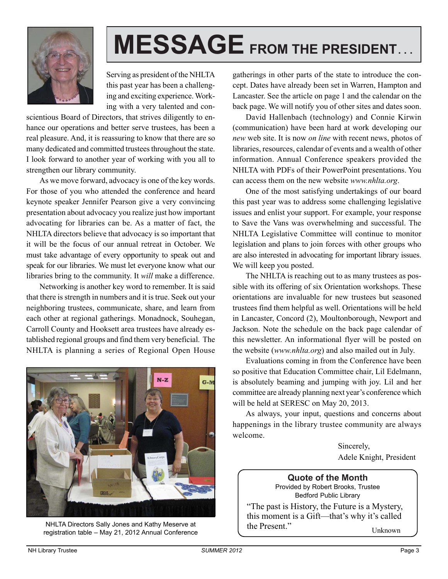

# **MESSAGE FROM THE PRESIDENT. . .**

Serving as president of the NHLTA this past year has been a challenging and exciting experience. Working with a very talented and con-

scientious Board of Directors, that strives diligently to enhance our operations and better serve trustees, has been a real pleasure. And, it is reassuring to know that there are so many dedicated and committed trustees throughout the state. I look forward to another year of working with you all to strengthen our library community.

As we move forward, advocacy is one of the key words. For those of you who attended the conference and heard keynote speaker Jennifer Pearson give a very convincing presentation about advocacy you realize just how important advocating for libraries can be. As a matter of fact, the NHLTA directors believe that advocacy is so important that it will be the focus of our annual retreat in October. We must take advantage of every opportunity to speak out and speak for our libraries. We must let everyone know what our libraries bring to the community. It *will* make a difference.

Networking is another key word to remember. It is said that there is strength in numbers and it is true. Seek out your neighboring trustees, communicate, share, and learn from each other at regional gatherings. Monadnock, Souhegan, Carroll County and Hooksett area trustees have already established regional groups and find them very beneficial. The NHLTA is planning a series of Regional Open House



NHLTA Directors Sally Jones and Kathy Meserve at registration table – May 21, 2012 Annual Conference

gatherings in other parts of the state to introduce the concept. Dates have already been set in Warren, Hampton and Lancaster. See the article on page 1 and the calendar on the back page. We will notify you of other sites and dates soon.

David Hallenbach (technology) and Connie Kirwin (communication) have been hard at work developing our *new* web site. It is now *on line* with recent news, photos of libraries, resources, calendar of events and a wealth of other information. Annual Conference speakers provided the NHLTA with PDFs of their PowerPoint presentations. You can access them on the new website *www.nhlta.org*.

One of the most satisfying undertakings of our board this past year was to address some challenging legislative issues and enlist your support. For example, your response to Save the Vans was overwhelming and successful. The NHLTA Legislative Committee will continue to monitor legislation and plans to join forces with other groups who are also interested in advocating for important library issues. We will keep you posted.

The NHLTA is reaching out to as many trustees as possible with its offering of six Orientation workshops. These orientations are invaluable for new trustees but seasoned trustees find them helpful as well. Orientations will be held in Lancaster, Concord (2), Moultonborough, Newport and Jackson. Note the schedule on the back page calendar of this newsletter. An informational flyer will be posted on the website (*www.nhlta.org*) and also mailed out in July.

Evaluations coming in from the Conference have been so positive that Education Committee chair, Lil Edelmann, is absolutely beaming and jumping with joy. Lil and her committee are already planning next year's conference which will be held at SERESC on May 20, 2013.

As always, your input, questions and concerns about happenings in the library trustee community are always welcome.

> Sincerely, Adele Knight, President

**Quote of the Month** Provided by Robert Brooks, Trustee Bedford Public Library

"The past is History, the Future is a Mystery, this moment is a Gift—that's why it's called the Present." Unknown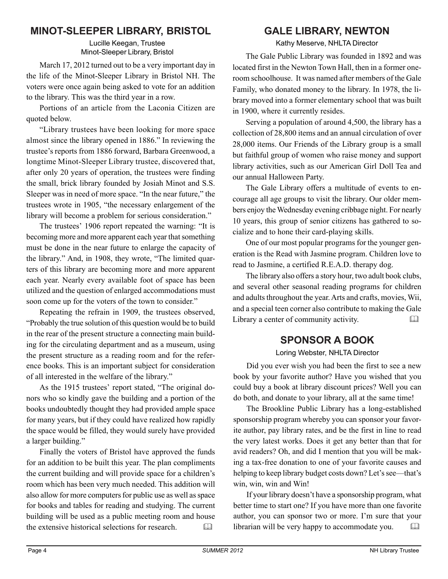## **MINOT-SLEEPER LIBRARY, BRISTOL**

Lucille Keegan, Trustee Minot-Sleeper Library, Bristol

March 17, 2012 turned out to be a very important day in the life of the Minot-Sleeper Library in Bristol NH. The voters were once again being asked to vote for an addition to the library. This was the third year in a row.

Portions of an article from the Laconia Citizen are quoted below.

"Library trustees have been looking for more space almost since the library opened in 1886." In reviewing the trustee's reports from 1886 forward, Barbara Greenwood, a longtime Minot-Sleeper Library trustee, discovered that, after only 20 years of operation, the trustees were finding the small, brick library founded by Josiah Minot and S.S. Sleeper was in need of more space. "In the near future," the trustees wrote in 1905, "the necessary enlargement of the library will become a problem for serious consideration."

The trustees' 1906 report repeated the warning: "It is becoming more and more apparent each year that something must be done in the near future to enlarge the capacity of the library." And, in 1908, they wrote, "The limited quarters of this library are becoming more and more apparent each year. Nearly every available foot of space has been utilized and the question of enlarged accommodations must soon come up for the voters of the town to consider."

Repeating the refrain in 1909, the trustees observed, "Probably the true solution of this question would be to build in the rear of the present structure a connecting main building for the circulating department and as a museum, using the present structure as a reading room and for the reference books. This is an important subject for consideration of all interested in the welfare of the library."

As the 1915 trustees' report stated, "The original donors who so kindly gave the building and a portion of the books undoubtedly thought they had provided ample space for many years, but if they could have realized how rapidly the space would be filled, they would surely have provided a larger building."

Finally the voters of Bristol have approved the funds for an addition to be built this year. The plan compliments the current building and will provide space for a children's room which has been very much needed. This addition will also allow for more computers for public use as well as space for books and tables for reading and studying. The current building will be used as a public meeting room and house the extensive historical selections for research. 

## **GALE LIBRARY, NEWTON**

Kathy Meserve, NHLTA Director

The Gale Public Library was founded in 1892 and was located first in the Newton Town Hall, then in a former oneroom schoolhouse. It was named after members of the Gale Family, who donated money to the library. In 1978, the library moved into a former elementary school that was built in 1900, where it currently resides.

Serving a population of around 4,500, the library has a collection of 28,800 items and an annual circulation of over 28,000 items. Our Friends of the Library group is a small but faithful group of women who raise money and support library activities, such as our American Girl Doll Tea and our annual Halloween Party.

The Gale Library offers a multitude of events to encourage all age groups to visit the library. Our older members enjoy the Wednesday evening cribbage night. For nearly 10 years, this group of senior citizens has gathered to socialize and to hone their card-playing skills.

One of our most popular programs for the younger generation is the Read with Jasmine program. Children love to read to Jasmine, a certified R.E.A.D. therapy dog.

The library also offers a story hour, two adult book clubs, and several other seasonal reading programs for children and adults throughout the year. Arts and crafts, movies, Wii, and a special teen corner also contribute to making the Gale Library a center of community activity.

## **SPONSOR A BOOK**

Loring Webster, NHLTA Director

Did you ever wish you had been the first to see a new book by your favorite author? Have you wished that you could buy a book at library discount prices? Well you can do both, and donate to your library, all at the same time!

The Brookline Public Library has a long-established sponsorship program whereby you can sponsor your favorite author, pay library rates, and be the first in line to read the very latest works. Does it get any better than that for avid readers? Oh, and did I mention that you will be making a tax-free donation to one of your favorite causes and helping to keep library budget costs down? Let's see—that's win, win, win and Win!

If your library doesn't have a sponsorship program, what better time to start one? If you have more than one favorite author, you can sponsor two or more. I'm sure that your librarian will be very happy to accommodate you.  $\Box$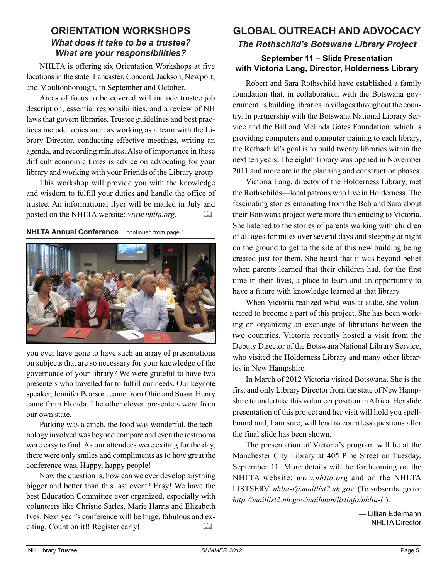#### **ORIENTATION WORKSHOPS** *What does it take to be a trustee? What are your responsibilities?*

NHLTA is offering six Orientation Workshops at five locations in the state: Lancaster, Concord, Jackson, Newport, and Moultonborough, in September and October.

Areas of focus to be covered will include trustee job description, essential responsibilities, and a review of NH laws that govern libraries. Trustee guidelines and best practices include topics such as working as a team with the Library Director, conducting effective meetings, writing an agenda, and recording minutes. Also of importance in these difficult economic times is advice on advocating for your library and working with your Friends of the Library group.

This workshop will provide you with the knowledge and wisdom to fulfill your duties and handle the office of trustee. An informational flyer will be mailed in July and posted on the NHLTA website: *www.nhlta.org*. 

**NHLTA Annual Conference** continued from page 1



you ever have gone to have such an array of presentations on subjects that are so necessary for your knowledge of the governance of your library? We were grateful to have two presenters who travelled far to fulfill our needs. Our keynote speaker, Jennifer Pearson, came from Ohio and Susan Henry came from Florida. The other eleven presenters were from our own state.

Parking was a cinch, the food was wonderful, the technology involved was beyond compare and even the restrooms were easy to find. As our attendees were exiting for the day, there were only smiles and compliments as to how great the conference was. Happy, happy people!

Now the question is, how can we ever develop anything bigger and better than this last event? Easy! We have the best Education Committee ever organized, especially with volunteers like Christie Sarles, Marie Harris and Elizabeth Ives. Next year's conference will be huge, fabulous and exciting. Count on it!! Register early! 

### **GLOBAL OUTREACH AND ADVOCACY** *The Rothschild's Botswana Library Project*

#### **September 11 – Slide Presentation with Victoria Lang, Director, Holderness Library**

Robert and Sara Rothschild have established a family foundation that, in collaboration with the Botswana government, is building libraries in villages throughout the country. In partnership with the Botswana National Library Service and the Bill and Melinda Gates Foundation, which is providing computers and computer training to each library, the Rothschild's goal is to build twenty libraries within the next ten years. The eighth library was opened in November 2011 and more are in the planning and construction phases.

Victoria Lang, director of the Holderness Library, met the Rothschilds—local patrons who live in Holderness. The fascinating stories emanating from the Bob and Sara about their Botswana project were more than enticing to Victoria. She listened to the stories of parents walking with children of all ages for miles over several days and sleeping at night on the ground to get to the site of this new building being created just for them. She heard that it was beyond belief when parents learned that their children had, for the first time in their lives, a place to learn and an opportunity to have a future with knowledge learned at that library.

When Victoria realized what was at stake, she volunteered to become a part of this project. She has been working on organizing an exchange of librarians between the two countries. Victoria recently hosted a visit from the Deputy Director of the Botswana National Library Service, who visited the Holderness Library and many other libraries in New Hampshire.

In March of 2012 Victoria visited Botswana. She is the first and only Library Director from the state of New Hampshire to undertake this volunteer position in Africa. Her slide presentation of this project and her visit will hold you spellbound and, I am sure, will lead to countless questions after the final slide has been shown.

The presentation of Victoria's program will be at the Manchester City Library at 405 Pine Street on Tuesday, September 11. More details will be forthcoming on the NHLTA website: *www.nhlta.org* and on the NHLTA LISTSERV: *nhlta-l@maillist2.nh.gov*. (To subscribe go to: *http://maillist2.nh.gov/mailman/listinfo/nhlta-l* ).

> — Lillian Edelmann NHLTA Director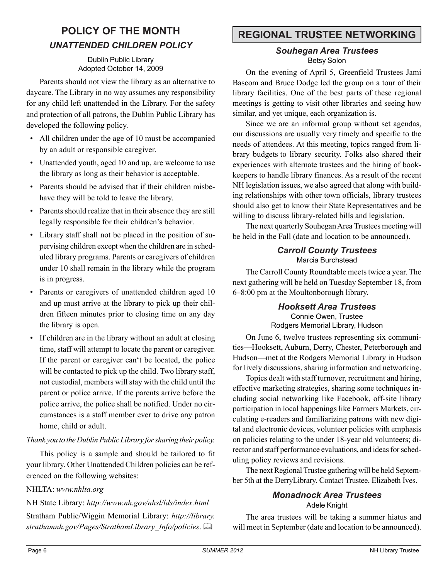## **POLICY OF THE MONTH** *UNATTENDED CHILDREN POLICY*

#### Dublin Public Library Adopted October 14, 2009

Parents should not view the library as an alternative to daycare. The Library in no way assumes any responsibility for any child left unattended in the Library. For the safety and protection of all patrons, the Dublin Public Library has developed the following policy.

- All children under the age of 10 must be accompanied by an adult or responsible caregiver.
- Unattended youth, aged 10 and up, are welcome to use the library as long as their behavior is acceptable.
- Parents should be advised that if their children misbehave they will be told to leave the library.
- Parents should realize that in their absence they are still legally responsible for their children's behavior.
- Library staff shall not be placed in the position of supervising children except when the children are in scheduled library programs. Parents or caregivers of children under 10 shall remain in the library while the program is in progress.
- Parents or caregivers of unattended children aged 10 and up must arrive at the library to pick up their children fifteen minutes prior to closing time on any day the library is open.
- If children are in the library without an adult at closing time, staff will attempt to locate the parent or caregiver. If the parent or caregiver can't be located, the police will be contacted to pick up the child. Two library staff, not custodial, members will stay with the child until the parent or police arrive. If the parents arrive before the police arrive, the police shall be notified. Under no circumstances is a staff member ever to drive any patron home, child or adult.

#### *Thank you to the Dublin Public Library for sharing their policy.*

This policy is a sample and should be tailored to fit your library. Other Unattended Children policies can be referenced on the following websites:

#### NHLTA: *www.nhlta.org*

NH State Library: *http://www.nh.gov/nhsl/lds/index.html* Stratham Public/Wiggin Memorial Library: *http://library. strathamnh.gov/Pages/StrathamLibrary\_Info/policies*. 

## **REGIONAL TRUSTEE NETWORKING**

#### *Souhegan Area Trustees* Betsy Solon

On the evening of April 5, Greenfield Trustees Jami Bascom and Bruce Dodge led the group on a tour of their library facilities. One of the best parts of these regional meetings is getting to visit other libraries and seeing how similar, and yet unique, each organization is.

Since we are an informal group without set agendas, our discussions are usually very timely and specific to the needs of attendees. At this meeting, topics ranged from library budgets to library security. Folks also shared their experiences with alternate trustees and the hiring of bookkeepers to handle library finances. As a result of the recent NH legislation issues, we also agreed that along with building relationships with other town officials, library trustees should also get to know their State Representatives and be willing to discuss library-related bills and legislation.

The next quarterly Souhegan Area Trustees meeting will be held in the Fall (date and location to be announced).

#### *Carroll County Trustees* Marcia Burchstead

The Carroll County Roundtable meets twice a year. The next gathering will be held on Tuesday September 18, from 6–8:00 pm at the Moultonborough library.

#### *Hooksett Area Trustees* Connie Owen, Trustee Rodgers Memorial Library, Hudson

On June 6, twelve trustees representing six communities—Hooksett, Auburn, Derry, Chester, Peterborough and Hudson—met at the Rodgers Memorial Library in Hudson for lively discussions, sharing information and networking.

Topics dealt with staff turnover, recruitment and hiring, effective marketing strategies, sharing some techniques including social networking like Facebook, off-site library participation in local happenings like Farmers Markets, circulating e-readers and familiarizing patrons with new digital and electronic devices, volunteer policies with emphasis on policies relating to the under 18-year old volunteers; director and staff performance evaluations, and ideas for scheduling policy reviews and revisions.

The next Regional Trustee gathering will be held September 5th at the DerryLibrary. Contact Trustee, Elizabeth Ives.

## *Monadnock Area Trustees*

Adele Knight

The area trustees will be taking a summer hiatus and will meet in September (date and location to be announced).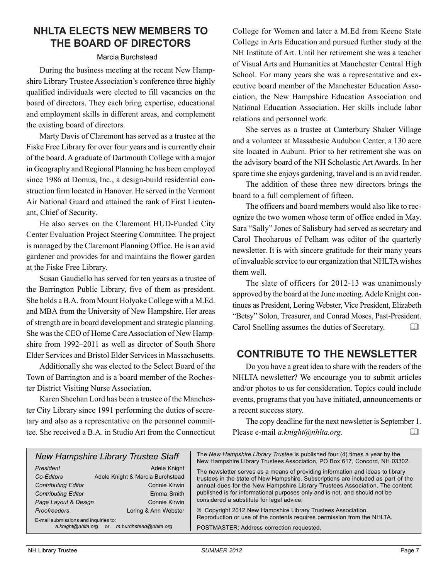## **NHLTA ELECTS NEW MEMBERS TO THE BOARD OF DIRECTORS**

#### Marcia Burchstead

During the business meeting at the recent New Hampshire Library Trustee Association's conference three highly qualified individuals were elected to fill vacancies on the board of directors. They each bring expertise, educational and employment skills in different areas, and complement the existing board of directors.

Marty Davis of Claremont has served as a trustee at the Fiske Free Library for over four years and is currently chair of the board. A graduate of Dartmouth College with a major in Geography and Regional Planning he has been employed since 1986 at Domus, Inc., a design-build residential construction firm located in Hanover. He served in the Vermont Air National Guard and attained the rank of First Lieutenant, Chief of Security.

He also serves on the Claremont HUD-Funded City Center Evaluation Project Steering Committee. The project is managed by the Claremont Planning Office. He is an avid gardener and provides for and maintains the flower garden at the Fiske Free Library.

Susan Gaudiello has served for ten years as a trustee of the Barrington Public Library, five of them as president. She holds a B.A. from Mount Holyoke College with a M.Ed. and MBA from the University of New Hampshire. Her areas of strength are in board development and strategic planning. She was the CEO of Home Care Association of New Hampshire from 1992–2011 as well as director of South Shore Elder Services and Bristol Elder Services in Massachusetts.

Additionally she was elected to the Select Board of the Town of Barrington and is a board member of the Rochester District Visiting Nurse Association.

Karen Sheehan Lord has been a trustee of the Manchester City Library since 1991 performing the duties of secretary and also as a representative on the personnel committee. She received a B.A. in Studio Art from the Connecticut College for Women and later a M.Ed from Keene State College in Arts Education and pursued further study at the NH Institute of Art. Until her retirement she was a teacher of Visual Arts and Humanities at Manchester Central High School. For many years she was a representative and executive board member of the Manchester Education Association, the New Hampshire Education Association and National Education Association. Her skills include labor relations and personnel work.

She serves as a trustee at Canterbury Shaker Village and a volunteer at Massabesic Audubon Center, a 130 acre site located in Auburn. Prior to her retirement she was on the advisory board of the NH Scholastic Art Awards. In her spare time she enjoys gardening, travel and is an avid reader.

The addition of these three new directors brings the board to a full complement of fifteen.

The officers and board members would also like to recognize the two women whose term of office ended in May. Sara "Sally" Jones of Salisbury had served as secretary and Carol Theoharous of Pelham was editor of the quarterly newsletter. It is with sincere gratitude for their many years of invaluable service to our organization that NHLTA wishes them well.

The slate of officers for 2012-13 was unanimously approved by the board at the June meeting. Adele Knight continues as President, Loring Webster, Vice President, Elizabeth "Betsy" Solon, Treasurer, and Conrad Moses, Past-President. Carol Snelling assumes the duties of Secretary. 

## **CONTRIBUTE TO THE NEWSLETTER**

Do you have a great idea to share with the readers of the NHLTA newsletter? We encourage you to submit articles and/or photos to us for consideration. Topics could include events, programs that you have initiated, announcements or a recent success story.

The copy deadline for the next newsletter is September 1. Please e-mail *a.knight@nhlta.org*. 

|  |                                      | <b>New Hampshire Library Trustee Staff</b> | The New Hampshire Library Trustee is published four (4) times a year by the<br>New Hampshire Library Trustees Association, PO Box 617, Concord, NH 03302. |  |
|--|--------------------------------------|--------------------------------------------|-----------------------------------------------------------------------------------------------------------------------------------------------------------|--|
|  | President                            | Adele Knight                               | The newsletter serves as a means of providing information and ideas to library                                                                            |  |
|  | Co-Editors                           | Adele Knight & Marcia Burchstead           | trustees in the state of New Hampshire. Subscriptions are included as part of the                                                                         |  |
|  | <b>Contributing Editor</b>           | Connie Kirwin                              | annual dues for the New Hampshire Library Trustees Association. The content                                                                               |  |
|  | <b>Contributing Editor</b>           | Emma Smith                                 | published is for informational purposes only and is not, and should not be<br>considered a substitute for legal advice.                                   |  |
|  | Page Layout & Design                 | Connie Kirwin                              |                                                                                                                                                           |  |
|  | <b>Proofreaders</b>                  | Loring & Ann Webster                       | © Copyright 2012 New Hampshire Library Trustees Association.                                                                                              |  |
|  | E-mail submissions and inquiries to: |                                            | Reproduction or use of the contents requires permission from the NHLTA.                                                                                   |  |
|  | a.knight@nhlta.org                   | m.burchstead@nhlta.org<br>or               | POSTMASTER: Address correction requested.                                                                                                                 |  |